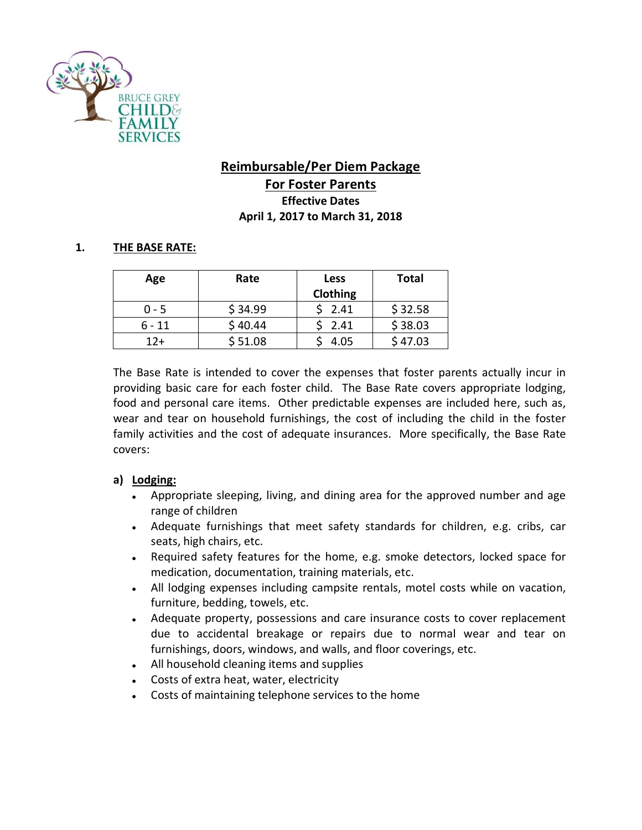

# **Reimbursable/Per Diem Package For Foster Parents Effective Dates April 1, 2017 to March 31, 2018**

## **1. THE BASE RATE:**

| Age      | Rate    | <b>Less</b> | <b>Total</b> |
|----------|---------|-------------|--------------|
|          |         | Clothing    |              |
| $0 - 5$  | \$34.99 | 2.41        | \$32.58      |
| $6 - 11$ | \$40.44 | 2.41        | \$38.03      |
| $12 +$   | \$51.08 | 4.05        | \$47.03      |

The Base Rate is intended to cover the expenses that foster parents actually incur in providing basic care for each foster child. The Base Rate covers appropriate lodging, food and personal care items. Other predictable expenses are included here, such as, wear and tear on household furnishings, the cost of including the child in the foster family activities and the cost of adequate insurances. More specifically, the Base Rate covers:

### **a) Lodging:**

- Appropriate sleeping, living, and dining area for the approved number and age range of children
- Adequate furnishings that meet safety standards for children, e.g. cribs, car seats, high chairs, etc.
- Required safety features for the home, e.g. smoke detectors, locked space for medication, documentation, training materials, etc.
- All lodging expenses including campsite rentals, motel costs while on vacation, furniture, bedding, towels, etc.
- Adequate property, possessions and care insurance costs to cover replacement due to accidental breakage or repairs due to normal wear and tear on furnishings, doors, windows, and walls, and floor coverings, etc.
- All household cleaning items and supplies
- Costs of extra heat, water, electricity
- Costs of maintaining telephone services to the home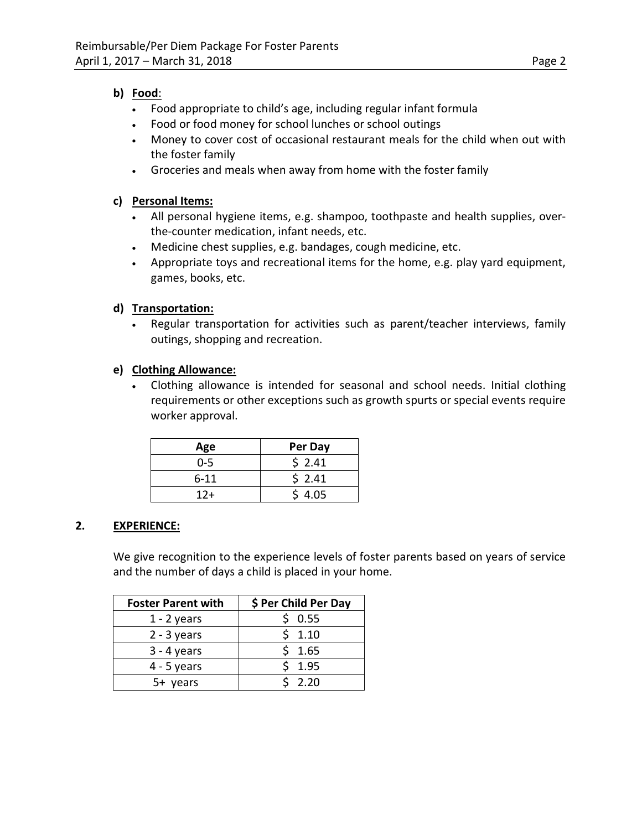### **b) Food**:

- Food appropriate to child's age, including regular infant formula
- Food or food money for school lunches or school outings
- Money to cover cost of occasional restaurant meals for the child when out with the foster family
- Groceries and meals when away from home with the foster family

## **c) Personal Items:**

- All personal hygiene items, e.g. shampoo, toothpaste and health supplies, overthe-counter medication, infant needs, etc.
- Medicine chest supplies, e.g. bandages, cough medicine, etc.
- Appropriate toys and recreational items for the home, e.g. play yard equipment, games, books, etc.

## **d) Transportation:**

• Regular transportation for activities such as parent/teacher interviews, family outings, shopping and recreation.

### **e) Clothing Allowance:**

• Clothing allowance is intended for seasonal and school needs. Initial clothing requirements or other exceptions such as growth spurts or special events require worker approval.

| Age      | Per Day |
|----------|---------|
| $0 - 5$  | \$2.41  |
| $6 - 11$ | \$2.41  |
| $12 +$   | \$4.05  |

## **2. EXPERIENCE:**

We give recognition to the experience levels of foster parents based on years of service and the number of days a child is placed in your home.

| <b>Foster Parent with</b> | \$ Per Child Per Day |
|---------------------------|----------------------|
| $1 - 2$ years             | 0.55                 |
| $2 - 3$ years             | 1.10                 |
| $3 - 4$ years             | 1.65                 |
| $4 - 5$ years             | 1.95                 |
| 5+ years                  | 2.20                 |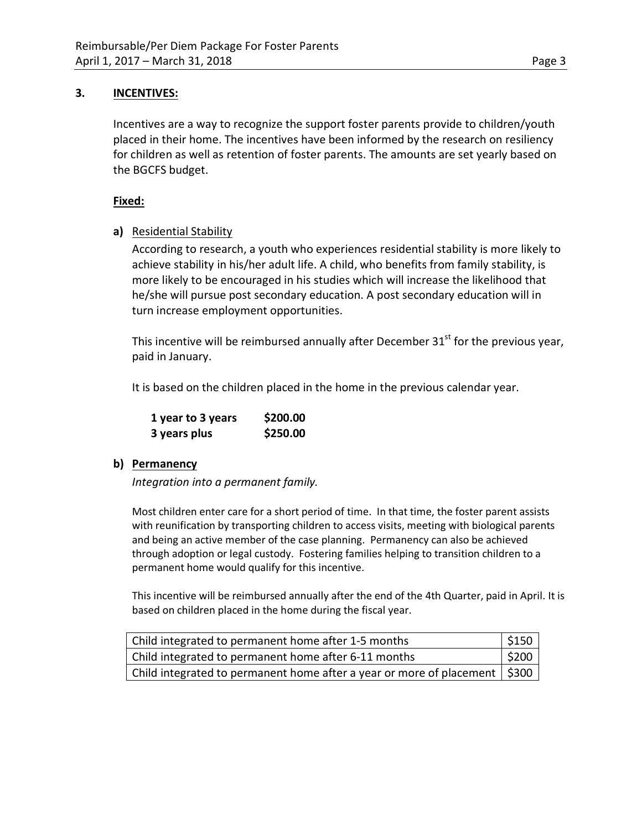### **3. INCENTIVES:**

Incentives are a way to recognize the support foster parents provide to children/youth placed in their home. The incentives have been informed by the research on resiliency for children as well as retention of foster parents. The amounts are set yearly based on the BGCFS budget.

### **Fixed:**

### **a)** Residential Stability

According to research, a youth who experiences residential stability is more likely to achieve stability in his/her adult life. A child, who benefits from family stability, is more likely to be encouraged in his studies which will increase the likelihood that he/she will pursue post secondary education. A post secondary education will in turn increase employment opportunities.

This incentive will be reimbursed annually after December  $31<sup>st</sup>$  for the previous year, paid in January.

It is based on the children placed in the home in the previous calendar year.

| 1 year to 3 years | \$200.00 |
|-------------------|----------|
| 3 years plus      | \$250.00 |

### **b) Permanency**

*Integration into a permanent family.*

Most children enter care for a short period of time. In that time, the foster parent assists with reunification by transporting children to access visits, meeting with biological parents and being an active member of the case planning. Permanency can also be achieved through adoption or legal custody. Fostering families helping to transition children to a permanent home would qualify for this incentive.

This incentive will be reimbursed annually after the end of the 4th Quarter, paid in April. It is based on children placed in the home during the fiscal year.

| Child integrated to permanent home after 1-5 months                          | $\frac{1}{2}$ \$150 |
|------------------------------------------------------------------------------|---------------------|
| Child integrated to permanent home after 6-11 months                         | $ $ \$200           |
| Child integrated to permanent home after a year or more of placement   \$300 |                     |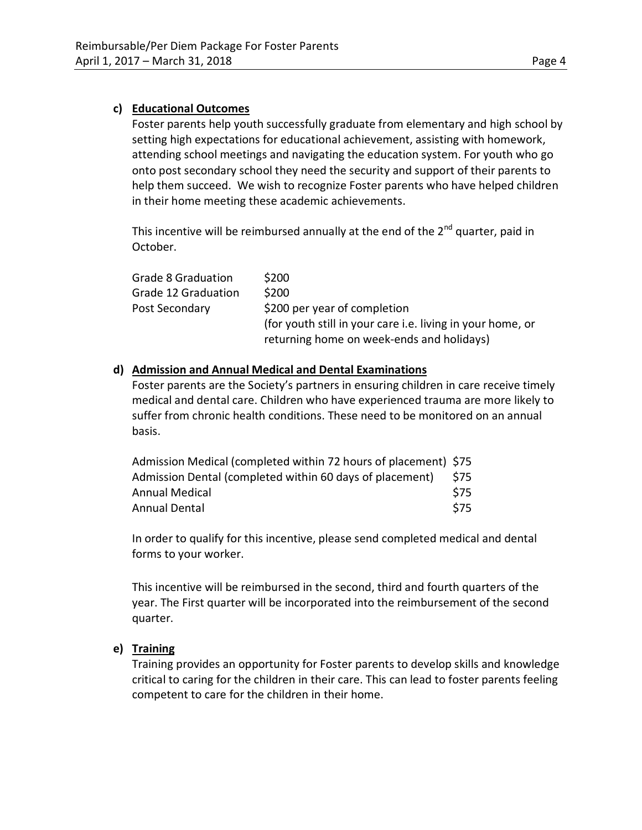### **c) Educational Outcomes**

Foster parents help youth successfully graduate from elementary and high school by setting high expectations for educational achievement, assisting with homework, attending school meetings and navigating the education system. For youth who go onto post secondary school they need the security and support of their parents to help them succeed. We wish to recognize Foster parents who have helped children in their home meeting these academic achievements.

This incentive will be reimbursed annually at the end of the  $2^{nd}$  quarter, paid in October.

| Grade 8 Graduation  | \$200                                                      |
|---------------------|------------------------------------------------------------|
| Grade 12 Graduation | \$200                                                      |
| Post Secondary      | \$200 per year of completion                               |
|                     | (for youth still in your care i.e. living in your home, or |
|                     | returning home on week-ends and holidays)                  |

### **d) Admission and Annual Medical and Dental Examinations**

Foster parents are the Society's partners in ensuring children in care receive timely medical and dental care. Children who have experienced trauma are more likely to suffer from chronic health conditions. These need to be monitored on an annual basis.

| Admission Medical (completed within 72 hours of placement) \$75 |       |
|-----------------------------------------------------------------|-------|
| Admission Dental (completed within 60 days of placement)        | - S75 |
| Annual Medical                                                  | S75   |
| Annual Dental                                                   | S75   |

In order to qualify for this incentive, please send completed medical and dental forms to your worker.

This incentive will be reimbursed in the second, third and fourth quarters of the year. The First quarter will be incorporated into the reimbursement of the second quarter.

### **e) Training**

Training provides an opportunity for Foster parents to develop skills and knowledge critical to caring for the children in their care. This can lead to foster parents feeling competent to care for the children in their home.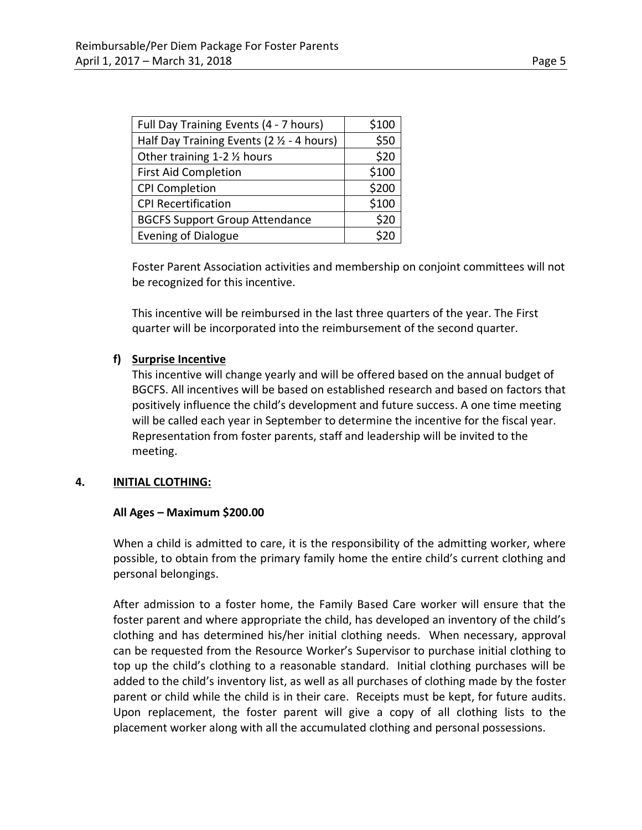| Full Day Training Events (4 - 7 hours)                | \$100 |
|-------------------------------------------------------|-------|
| Half Day Training Events ( $2 \frac{1}{2}$ - 4 hours) | \$50  |
| Other training 1-2 1/2 hours                          | \$20  |
| <b>First Aid Completion</b>                           | \$100 |
| <b>CPI Completion</b>                                 | \$200 |
| <b>CPI Recertification</b>                            | \$100 |
| <b>BGCFS Support Group Attendance</b>                 | \$20  |
| <b>Evening of Dialogue</b>                            |       |

Foster Parent Association activities and membership on conjoint committees will not be recognized for this incentive.

This incentive will be reimbursed in the last three quarters of the year. The First quarter will be incorporated into the reimbursement of the second quarter.

### **f) Surprise Incentive**

This incentive will change yearly and will be offered based on the annual budget of BGCFS. All incentives will be based on established research and based on factors that positively influence the child's development and future success. A one time meeting will be called each year in September to determine the incentive for the fiscal year. Representation from foster parents, staff and leadership will be invited to the meeting.

#### **4. INITIAL CLOTHING:**

#### **All Ages – Maximum \$200.00**

When a child is admitted to care, it is the responsibility of the admitting worker, where possible, to obtain from the primary family home the entire child's current clothing and personal belongings.

After admission to a foster home, the Family Based Care worker will ensure that the foster parent and where appropriate the child, has developed an inventory of the child's clothing and has determined his/her initial clothing needs. When necessary, approval can be requested from the Resource Worker's Supervisor to purchase initial clothing to top up the child's clothing to a reasonable standard. Initial clothing purchases will be added to the child's inventory list, as well as all purchases of clothing made by the foster parent or child while the child is in their care. Receipts must be kept, for future audits. Upon replacement, the foster parent will give a copy of all clothing lists to the placement worker along with all the accumulated clothing and personal possessions.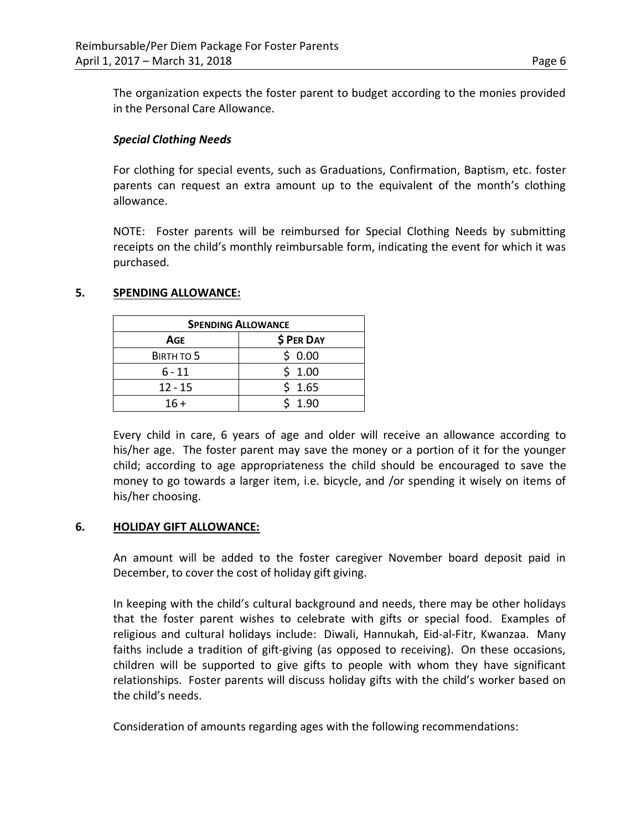The organization expects the foster parent to budget according to the monies provided in the Personal Care Allowance.

### *Special Clothing Needs*

For clothing for special events, such as Graduations, Confirmation, Baptism, etc. foster parents can request an extra amount up to the equivalent of the month's clothing allowance.

NOTE: Foster parents will be reimbursed for Special Clothing Needs by submitting receipts on the child's monthly reimbursable form, indicating the event for which it was purchased.

### **5. SPENDING ALLOWANCE:**

| <b>SPENDING ALLOWANCE</b> |            |  |
|---------------------------|------------|--|
| Age                       | \$ PER DAY |  |
| BIRTH TO 5                | \$0.00     |  |
| $6 - 11$                  | \$1.00     |  |
| $12 - 15$                 | \$1.65     |  |
| $16 +$                    | 1.90       |  |

Every child in care, 6 years of age and older will receive an allowance according to his/her age. The foster parent may save the money or a portion of it for the younger child; according to age appropriateness the child should be encouraged to save the money to go towards a larger item, i.e. bicycle, and /or spending it wisely on items of his/her choosing.

### **6. HOLIDAY GIFT ALLOWANCE:**

An amount will be added to the foster caregiver November board deposit paid in December, to cover the cost of holiday gift giving.

In keeping with the child's cultural background and needs, there may be other holidays that the foster parent wishes to celebrate with gifts or special food. Examples of religious and cultural holidays include: Diwali, Hannukah, Eid-al-Fitr, Kwanzaa. Many faiths include a tradition of gift-giving (as opposed to receiving). On these occasions, children will be supported to give gifts to people with whom they have significant relationships. Foster parents will discuss holiday gifts with the child's worker based on the child's needs.

Consideration of amounts regarding ages with the following recommendations: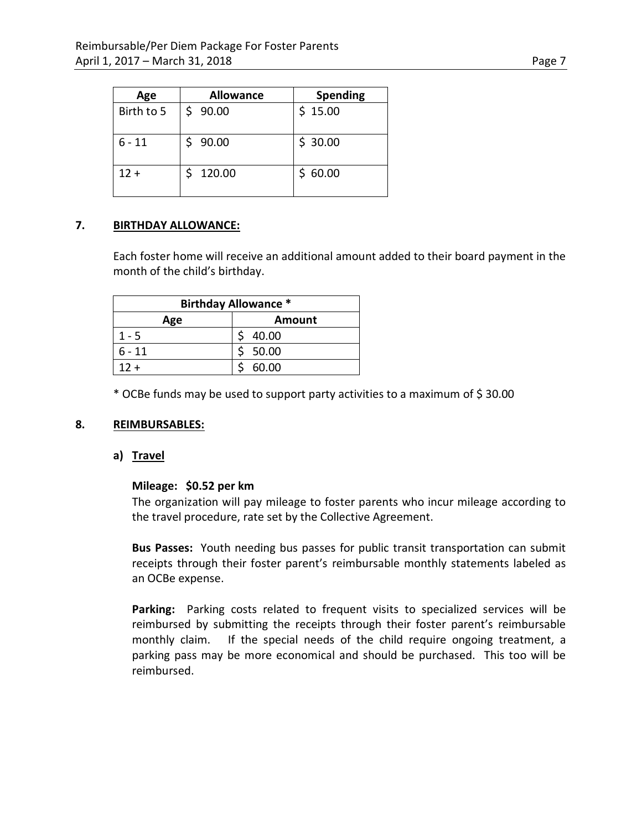| Age        | <b>Allowance</b> | <b>Spending</b> |
|------------|------------------|-----------------|
| Birth to 5 | \$90.00          | \$15.00         |
| $6 - 11$   | 90.00            | \$30.00         |
| $12 +$     | 120.00           | \$60.00         |

### **7. BIRTHDAY ALLOWANCE:**

Each foster home will receive an additional amount added to their board payment in the month of the child's birthday.

| <b>Birthday Allowance *</b> |        |  |
|-----------------------------|--------|--|
| Age                         | Amount |  |
| $1 - 5$                     | 40.00  |  |
| $6 - 11$                    | 50.00  |  |
| $12 +$                      | 60.00  |  |

\* OCBe funds may be used to support party activities to a maximum of \$ 30.00

#### **8. REIMBURSABLES:**

### **a) Travel**

#### **Mileage: \$0.52 per km**

The organization will pay mileage to foster parents who incur mileage according to the travel procedure, rate set by the Collective Agreement.

**Bus Passes:** Youth needing bus passes for public transit transportation can submit receipts through their foster parent's reimbursable monthly statements labeled as an OCBe expense.

**Parking:** Parking costs related to frequent visits to specialized services will be reimbursed by submitting the receipts through their foster parent's reimbursable monthly claim. If the special needs of the child require ongoing treatment, a parking pass may be more economical and should be purchased. This too will be reimbursed.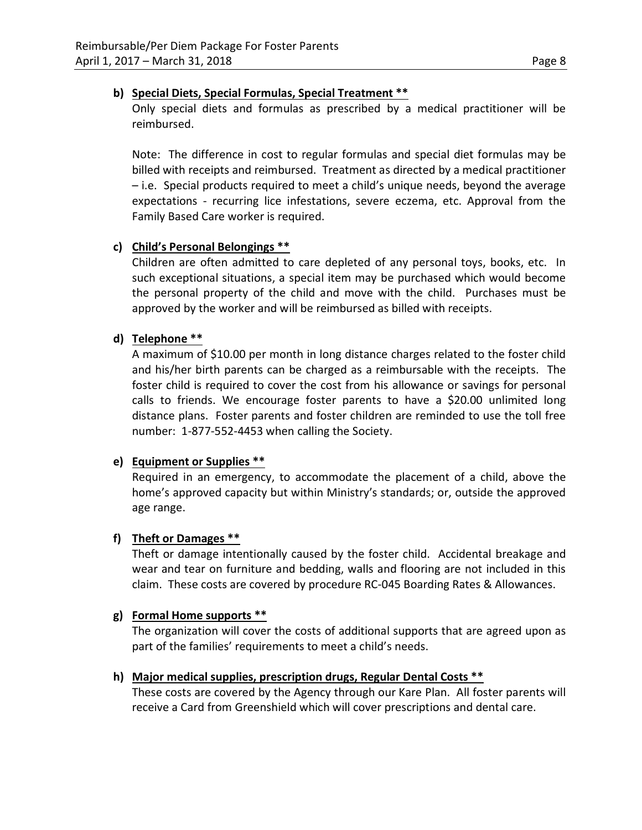### **b) Special Diets, Special Formulas, Special Treatment \*\***

Only special diets and formulas as prescribed by a medical practitioner will be reimbursed.

Note: The difference in cost to regular formulas and special diet formulas may be billed with receipts and reimbursed. Treatment as directed by a medical practitioner – i.e. Special products required to meet a child's unique needs, beyond the average expectations - recurring lice infestations, severe eczema, etc. Approval from the Family Based Care worker is required.

### **c) Child's Personal Belongings \*\***

Children are often admitted to care depleted of any personal toys, books, etc. In such exceptional situations, a special item may be purchased which would become the personal property of the child and move with the child. Purchases must be approved by the worker and will be reimbursed as billed with receipts.

### **d) Telephone \*\***

A maximum of \$10.00 per month in long distance charges related to the foster child and his/her birth parents can be charged as a reimbursable with the receipts. The foster child is required to cover the cost from his allowance or savings for personal calls to friends. We encourage foster parents to have a \$20.00 unlimited long distance plans. Foster parents and foster children are reminded to use the toll free number: 1-877-552-4453 when calling the Society.

### **e) Equipment or Supplies \*\***

Required in an emergency, to accommodate the placement of a child, above the home's approved capacity but within Ministry's standards; or, outside the approved age range.

### **f) Theft or Damages \*\***

Theft or damage intentionally caused by the foster child. Accidental breakage and wear and tear on furniture and bedding, walls and flooring are not included in this claim. These costs are covered by procedure RC-045 Boarding Rates & Allowances.

#### **g) Formal Home supports \*\***

The organization will cover the costs of additional supports that are agreed upon as part of the families' requirements to meet a child's needs.

### **h) Major medical supplies, prescription drugs, Regular Dental Costs \*\***

These costs are covered by the Agency through our Kare Plan. All foster parents will receive a Card from Greenshield which will cover prescriptions and dental care.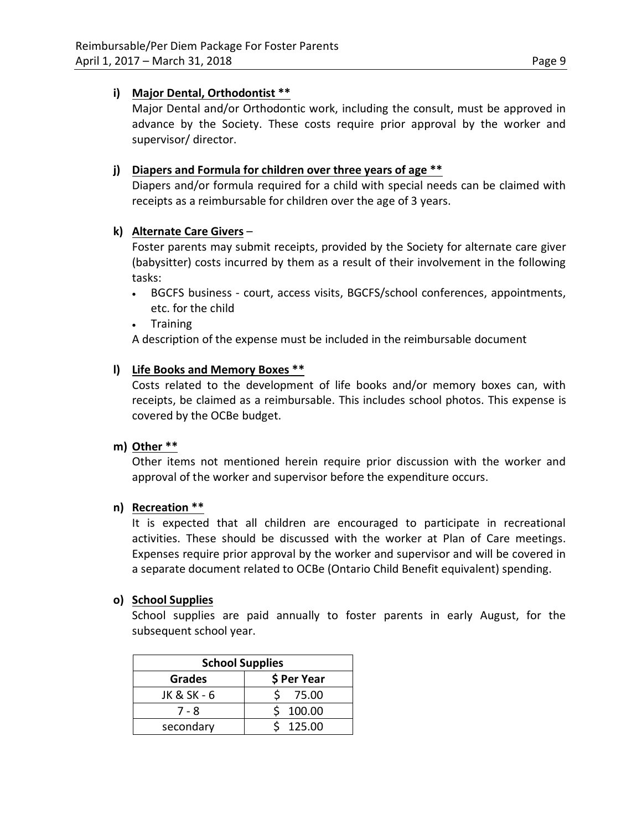### **i) Major Dental, Orthodontist \*\***

Major Dental and/or Orthodontic work, including the consult, must be approved in advance by the Society. These costs require prior approval by the worker and supervisor/ director.

### **j) Diapers and Formula for children over three years of age \*\***

Diapers and/or formula required for a child with special needs can be claimed with receipts as a reimbursable for children over the age of 3 years.

### **k) Alternate Care Givers** –

Foster parents may submit receipts, provided by the Society for alternate care giver (babysitter) costs incurred by them as a result of their involvement in the following tasks:

- BGCFS business court, access visits, BGCFS/school conferences, appointments, etc. for the child
- Training

A description of the expense must be included in the reimbursable document

### **l) Life Books and Memory Boxes \*\***

Costs related to the development of life books and/or memory boxes can, with receipts, be claimed as a reimbursable. This includes school photos. This expense is covered by the OCBe budget.

### **m) Other \*\***

Other items not mentioned herein require prior discussion with the worker and approval of the worker and supervisor before the expenditure occurs.

### **n) Recreation \*\***

It is expected that all children are encouraged to participate in recreational activities. These should be discussed with the worker at Plan of Care meetings. Expenses require prior approval by the worker and supervisor and will be covered in a separate document related to OCBe (Ontario Child Benefit equivalent) spending.

### **o) School Supplies**

School supplies are paid annually to foster parents in early August, for the subsequent school year.

| <b>School Supplies</b>       |        |  |
|------------------------------|--------|--|
| \$ Per Year<br><b>Grades</b> |        |  |
| JK & SK - 6                  | 75.00  |  |
| 7 - 8                        | 100.00 |  |
| secondary                    | 125.00 |  |